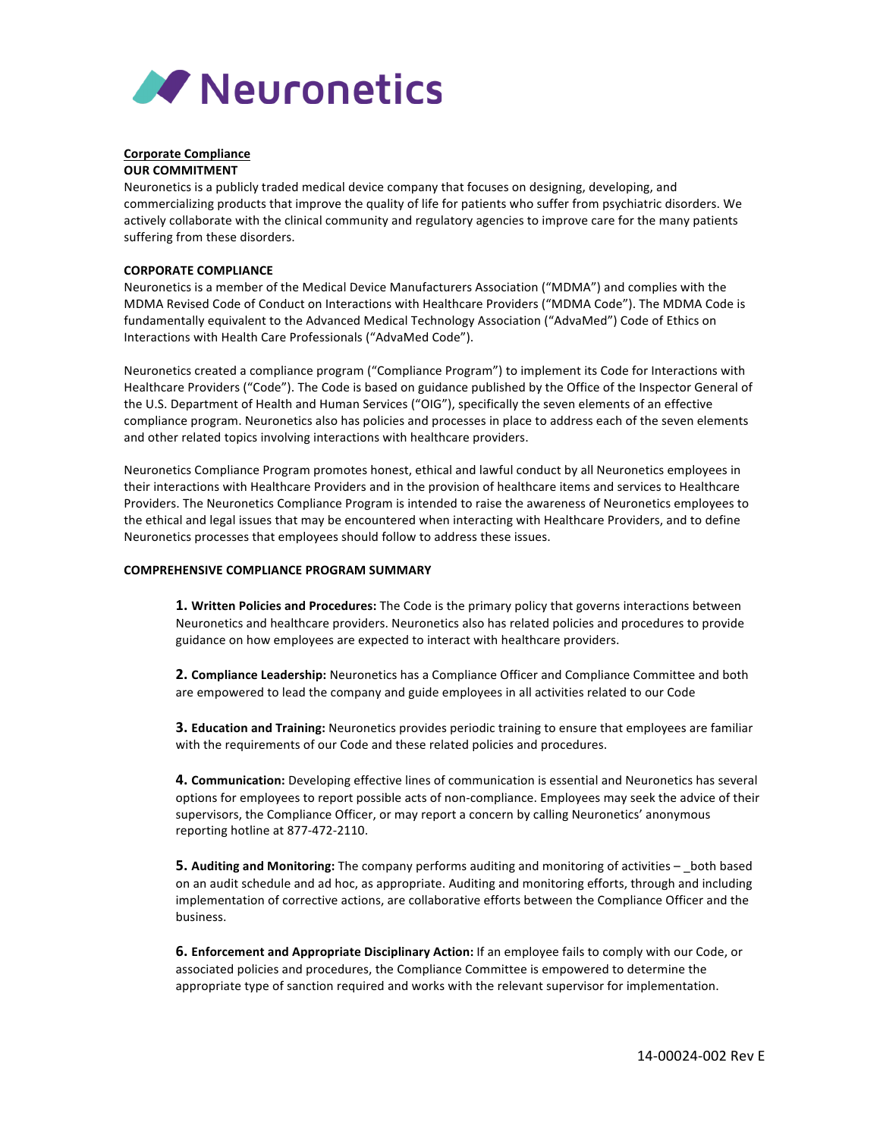

## **Corporate Compliance OUR COMMITMENT**

Neuronetics is a publicly traded medical device company that focuses on designing, developing, and commercializing products that improve the quality of life for patients who suffer from psychiatric disorders. We actively collaborate with the clinical community and regulatory agencies to improve care for the many patients suffering from these disorders.

## **CORPORATE COMPLIANCE**

Neuronetics is a member of the Medical Device Manufacturers Association ("MDMA") and complies with the MDMA Revised Code of Conduct on Interactions with Healthcare Providers ("MDMA Code"). The MDMA Code is fundamentally equivalent to the Advanced Medical Technology Association ("AdvaMed") Code of Ethics on Interactions with Health Care Professionals ("AdvaMed Code").

Neuronetics created a compliance program ("Compliance Program") to implement its Code for Interactions with Healthcare Providers ("Code"). The Code is based on guidance published by the Office of the Inspector General of the U.S. Department of Health and Human Services ("OIG"), specifically the seven elements of an effective compliance program. Neuronetics also has policies and processes in place to address each of the seven elements and other related topics involving interactions with healthcare providers.

Neuronetics Compliance Program promotes honest, ethical and lawful conduct by all Neuronetics employees in their interactions with Healthcare Providers and in the provision of healthcare items and services to Healthcare Providers. The Neuronetics Compliance Program is intended to raise the awareness of Neuronetics employees to the ethical and legal issues that may be encountered when interacting with Healthcare Providers, and to define Neuronetics processes that employees should follow to address these issues.

## **COMPREHENSIVE COMPLIANCE PROGRAM SUMMARY**

**1. Written Policies and Procedures:** The Code is the primary policy that governs interactions between Neuronetics and healthcare providers. Neuronetics also has related policies and procedures to provide guidance on how employees are expected to interact with healthcare providers.

**2. Compliance Leadership:** Neuronetics has a Compliance Officer and Compliance Committee and both are empowered to lead the company and guide employees in all activities related to our Code

**3. Education and Training:** Neuronetics provides periodic training to ensure that employees are familiar with the requirements of our Code and these related policies and procedures.

4. Communication: Developing effective lines of communication is essential and Neuronetics has several options for employees to report possible acts of non-compliance. Employees may seek the advice of their supervisors, the Compliance Officer, or may report a concern by calling Neuronetics' anonymous reporting hotline at 877-472-2110.

**5. Auditing and Monitoring:** The company performs auditing and monitoring of activities  $-$  both based on an audit schedule and ad hoc, as appropriate. Auditing and monitoring efforts, through and including implementation of corrective actions, are collaborative efforts between the Compliance Officer and the business. 

**6. Enforcement and Appropriate Disciplinary Action:** If an employee fails to comply with our Code, or associated policies and procedures, the Compliance Committee is empowered to determine the appropriate type of sanction required and works with the relevant supervisor for implementation.